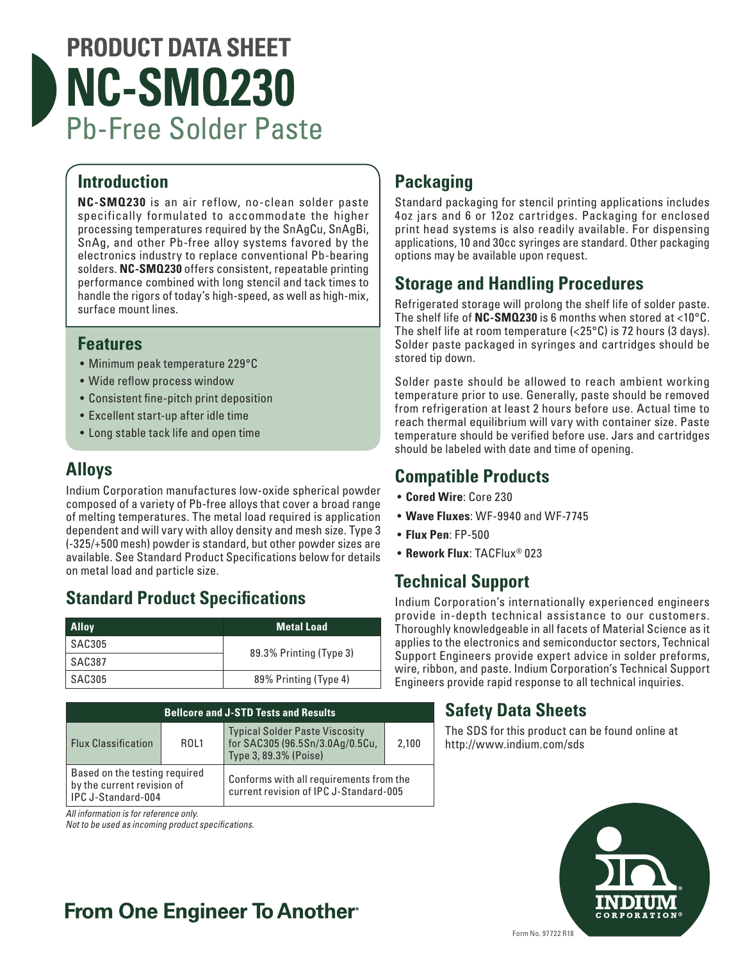# **PRODUCT DATA SHEET NC-SMQ230** Pb-Free Solder Paste

#### **Introduction**

**NC-SMQ230** is an air reflow, no-clean solder paste specifically formulated to accommodate the higher processing temperatures required by the SnAgCu, SnAgBi, SnAg, and other Pb-free alloy systems favored by the electronics industry to replace conventional Pb-bearing solders. **NC-SMQ230** offers consistent, repeatable printing performance combined with long stencil and tack times to handle the rigors of today's high-speed, as well as high-mix, surface mount lines.

#### **Features**

- Minimum peak temperature 229°C
- Wide reflow process window
- Consistent fine-pitch print deposition
- Excellent start-up after idle time
- Long stable tack life and open time

#### **Alloys**

Indium Corporation manufactures low-oxide spherical powder composed of a variety of Pb-free alloys that cover a broad range of melting temperatures. The metal load required is application dependent and will vary with alloy density and mesh size. Type 3 (-325/+500 mesh) powder is standard, but other powder sizes are available. See Standard Product Specifications below for details on metal load and particle size.

## **Standard Product Specifications**

| <b>Alloy</b>  | <b>Metal Load</b>       |  |
|---------------|-------------------------|--|
| SAC305        | 89.3% Printing (Type 3) |  |
| SAC387        |                         |  |
| <b>SAC305</b> | 89% Printing (Type 4)   |  |

| <b>Bellcore and J-STD Tests and Results</b>                                       |      |                                                                                                   |       |  |
|-----------------------------------------------------------------------------------|------|---------------------------------------------------------------------------------------------------|-------|--|
| <b>Flux Classification</b>                                                        | ROL1 | <b>Typical Solder Paste Viscosity</b><br>for SAC305 (96.5Sn/3.0Ag/0.5Cu,<br>Type 3, 89.3% (Poise) | 2,100 |  |
| Based on the testing required<br>by the current revision of<br>IPC J-Standard-004 |      | Conforms with all requirements from the<br>current revision of IPC J-Standard-005                 |       |  |
|                                                                                   |      |                                                                                                   |       |  |

*All information is for reference only.*

*Not to be used as incoming product specifications.*

## **Packaging**

Standard packaging for stencil printing applications includes 4oz jars and 6 or 12oz cartridges. Packaging for enclosed print head systems is also readily available. For dispensing applications, 10 and 30cc syringes are standard. Other packaging options may be available upon request.

#### **Storage and Handling Procedures**

Refrigerated storage will prolong the shelf life of solder paste. The shelf life of **NC-SMQ230** is 6 months when stored at <10°C. The shelf life at room temperature  $\langle$ <25°C) is 72 hours (3 days). Solder paste packaged in syringes and cartridges should be stored tip down.

Solder paste should be allowed to reach ambient working temperature prior to use. Generally, paste should be removed from refrigeration at least 2 hours before use. Actual time to reach thermal equilibrium will vary with container size. Paste temperature should be verified before use. Jars and cartridges should be labeled with date and time of opening.

#### **Compatible Products**

- **Cored Wire**: Core 230
- **Wave Fluxes**: WF-9940 and WF-7745
- **Flux Pen**: FP-500
- **Rework Flux**: TACFlux® 023

## **Technical Support**

Indium Corporation's internationally experienced engineers provide in-depth technical assistance to our customers. Thoroughly knowledgeable in all facets of Material Science as it applies to the electronics and semiconductor sectors, Technical Support Engineers provide expert advice in solder preforms, wire, ribbon, and paste. Indium Corporation's Technical Support Engineers provide rapid response to all technical inquiries.

## **Safety Data Sheets**

The SDS for this product can be found online at http://www.indium.com/sds



## **From One Engineer To Another**